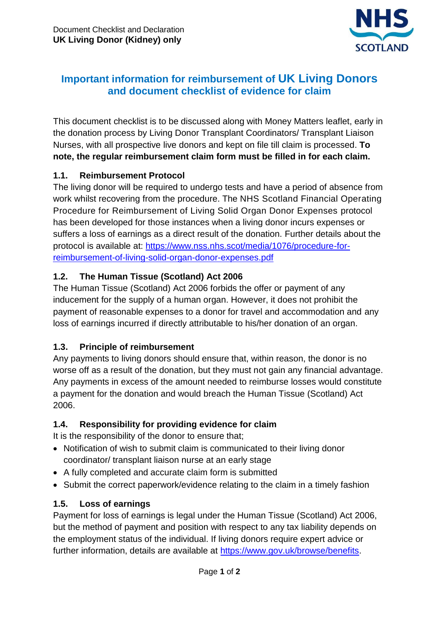

# **Important information for reimbursement of UK Living Donors and document checklist of evidence for claim**

This document checklist is to be discussed along with Money Matters leaflet, early in the donation process by Living Donor Transplant Coordinators/ Transplant Liaison Nurses, with all prospective live donors and kept on file till claim is processed. **To note, the regular reimbursement claim form must be filled in for each claim.**

#### **1.1. Reimbursement Protocol**

The living donor will be required to undergo tests and have a period of absence from work whilst recovering from the procedure. The NHS Scotland Financial Operating Procedure for Reimbursement of Living Solid Organ Donor Expenses protocol has been developed for those instances when a living donor incurs expenses or suffers a loss of earnings as a direct result of the donation. Further details about the protocol is available at: [https://www.nss.nhs.scot/media/1076/procedure-for](https://www.nss.nhs.scot/media/1076/procedure-for-reimbursement-of-living-solid-organ-donor-expenses.pdf)[reimbursement-of-living-solid-organ-donor-expenses.pdf](https://www.nss.nhs.scot/media/1076/procedure-for-reimbursement-of-living-solid-organ-donor-expenses.pdf)

#### **1.2. The Human Tissue (Scotland) Act 2006**

The Human Tissue (Scotland) Act 2006 forbids the offer or payment of any inducement for the supply of a human organ. However, it does not prohibit the payment of reasonable expenses to a donor for travel and accommodation and any loss of earnings incurred if directly attributable to his/her donation of an organ.

## **1.3. Principle of reimbursement**

Any payments to living donors should ensure that, within reason, the donor is no worse off as a result of the donation, but they must not gain any financial advantage. Any payments in excess of the amount needed to reimburse losses would constitute a payment for the donation and would breach the Human Tissue (Scotland) Act 2006.

## **1.4. Responsibility for providing evidence for claim**

It is the responsibility of the donor to ensure that;

- Notification of wish to submit claim is communicated to their living donor coordinator/ transplant liaison nurse at an early stage
- A fully completed and accurate claim form is submitted
- Submit the correct paperwork/evidence relating to the claim in a timely fashion

## **1.5. Loss of earnings**

Payment for loss of earnings is legal under the Human Tissue (Scotland) Act 2006, but the method of payment and position with respect to any tax liability depends on the employment status of the individual. If living donors require expert advice or further information, details are available at [https://www.gov.uk/browse/benefits.](https://www.gov.uk/browse/benefits)